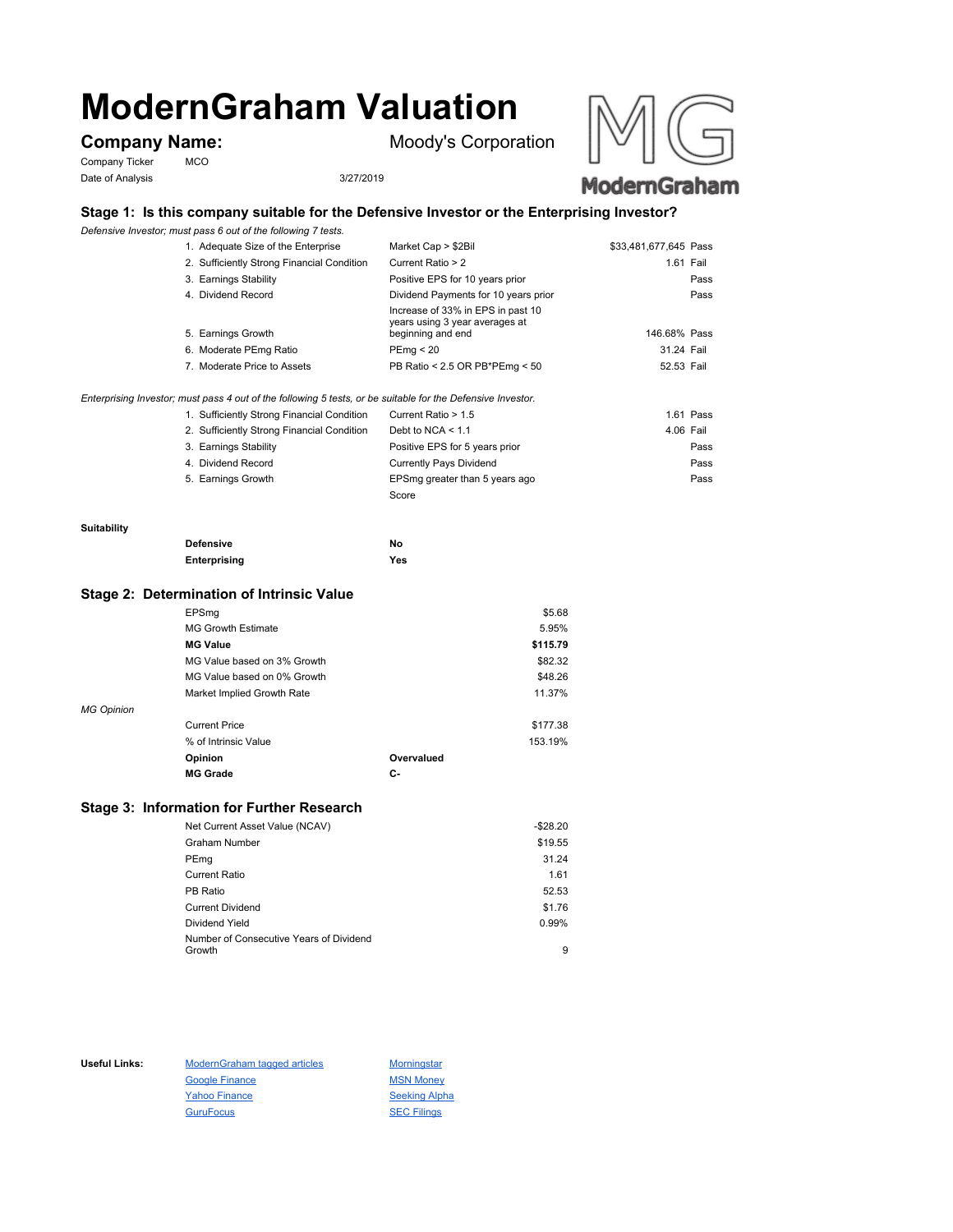# **ModernGraham Valuation**

Company Ticker MCO Date of Analysis 3/27/2019

**Company Name:** Moody's Corporation



# **Stage 1: Is this company suitable for the Defensive Investor or the Enterprising Investor?**

*Defensive Investor; must pass 6 out of the following 7 tests.*

| 1. Adequate Size of the Enterprise         | Market Cap > \$2Bil                                                                      | \$33,481,677,645 Pass |
|--------------------------------------------|------------------------------------------------------------------------------------------|-----------------------|
| 2. Sufficiently Strong Financial Condition | Current Ratio > 2                                                                        | 1.61 Fail             |
| 3. Earnings Stability                      | Positive EPS for 10 years prior                                                          | Pass                  |
| 4. Dividend Record                         | Dividend Payments for 10 years prior                                                     | Pass                  |
| 5. Earnings Growth                         | Increase of 33% in EPS in past 10<br>years using 3 year averages at<br>beginning and end | 146.68% Pass          |
| 6. Moderate PEmg Ratio                     | PEmq < 20                                                                                | 31.24 Fail            |
| 7. Moderate Price to Assets                | PB Ratio < 2.5 OR PB*PEmg < 50                                                           | 52.53 Fail            |
|                                            |                                                                                          |                       |

## *Enterprising Investor; must pass 4 out of the following 5 tests, or be suitable for the Defensive Investor.*

| 1. Sufficiently Strong Financial Condition | Current Ratio > 1.5            | 1.61 Pass |
|--------------------------------------------|--------------------------------|-----------|
| 2. Sufficiently Strong Financial Condition | Debt to NCA $<$ 1.1            | 4.06 Fail |
| 3. Earnings Stability                      | Positive EPS for 5 years prior | Pass      |
| 4. Dividend Record                         | <b>Currently Pays Dividend</b> | Pass      |
| 5. Earnings Growth                         | EPSmg greater than 5 years ago | Pass      |
|                                            | Score                          |           |

### **Suitability**

| <b>Defensive</b> | Νo  |
|------------------|-----|
| Enterprising     | Yes |

# **Stage 2: Determination of Intrinsic Value**

|                   | EPSmg                       |            | \$5.68   |
|-------------------|-----------------------------|------------|----------|
|                   | <b>MG Growth Estimate</b>   |            | 5.95%    |
|                   | <b>MG Value</b>             |            | \$115.79 |
|                   | MG Value based on 3% Growth |            | \$82.32  |
|                   | MG Value based on 0% Growth |            | \$48.26  |
|                   | Market Implied Growth Rate  |            | 11.37%   |
| <b>MG Opinion</b> |                             |            |          |
|                   | <b>Current Price</b>        |            | \$177.38 |
|                   | % of Intrinsic Value        |            | 153.19%  |
|                   | Opinion                     | Overvalued |          |
|                   | <b>MG Grade</b>             | С-         |          |
|                   |                             |            |          |

# **Stage 3: Information for Further Research**

| Net Current Asset Value (NCAV)          | $-$28.20$ |
|-----------------------------------------|-----------|
| Graham Number                           | \$19.55   |
| PEmg                                    | 31.24     |
| Current Ratio                           | 1.61      |
| PB Ratio                                | 52.53     |
| <b>Current Dividend</b>                 | \$1.76    |
| Dividend Yield                          | 0.99%     |
| Number of Consecutive Years of Dividend |           |
| Growth                                  | 9         |

Useful Links: ModernGraham tagged articles Morningstar Google Finance MSN Money Yahoo Finance Seeking Alpha GuruFocus SEC Filings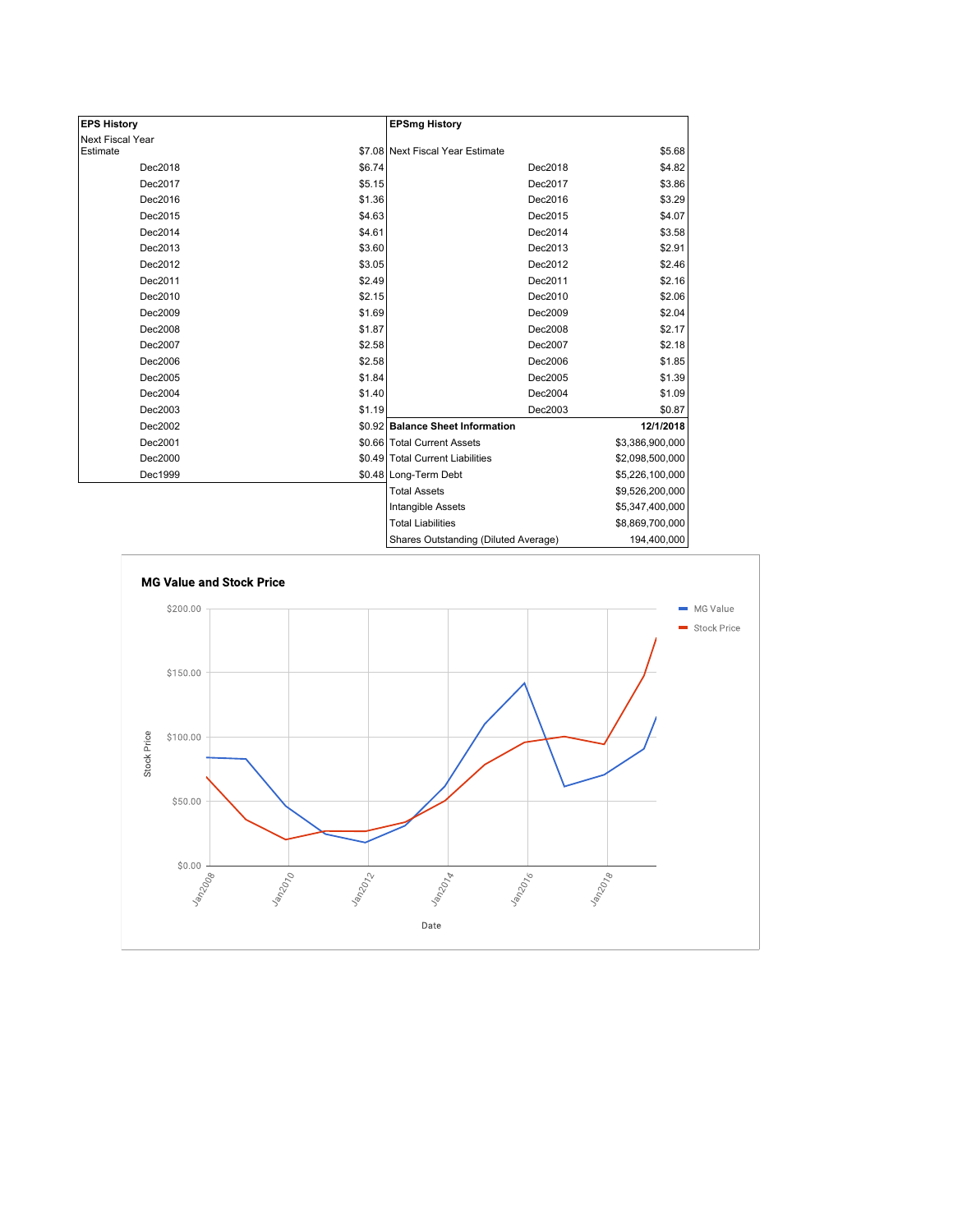| <b>EPS History</b> |        | <b>EPSmg History</b>                 |                 |
|--------------------|--------|--------------------------------------|-----------------|
| Next Fiscal Year   |        |                                      |                 |
| Estimate           |        | \$7.08 Next Fiscal Year Estimate     | \$5.68          |
| Dec2018            | \$6.74 | Dec2018                              | \$4.82          |
| Dec2017            | \$5.15 | Dec2017                              | \$3.86          |
| Dec2016            | \$1.36 | Dec2016                              | \$3.29          |
| Dec2015            | \$4.63 | Dec2015                              | \$4.07          |
| Dec2014            | \$4.61 | Dec2014                              | \$3.58          |
| Dec2013            | \$3.60 | Dec2013                              | \$2.91          |
| Dec2012            | \$3.05 | Dec2012                              | \$2.46          |
| Dec2011            | \$2.49 | Dec2011                              | \$2.16          |
| Dec2010            | \$2.15 | Dec2010                              | \$2.06          |
| Dec2009            | \$1.69 | Dec2009                              | \$2.04          |
| Dec2008            | \$1.87 | Dec2008                              | \$2.17          |
| Dec2007            | \$2.58 | Dec2007                              | \$2.18          |
| Dec2006            | \$2.58 | Dec2006                              | \$1.85          |
| Dec2005            | \$1.84 | Dec2005                              | \$1.39          |
| Dec2004            | \$1.40 | Dec2004                              | \$1.09          |
| Dec2003            | \$1.19 | Dec2003                              | \$0.87          |
| Dec2002            |        | \$0.92 Balance Sheet Information     | 12/1/2018       |
| Dec2001            |        | \$0.66 Total Current Assets          | \$3,386,900,000 |
| Dec2000            |        | \$0.49 Total Current Liabilities     | \$2,098,500,000 |
| Dec1999            |        | \$0.48 Long-Term Debt                | \$5,226,100,000 |
|                    |        | <b>Total Assets</b>                  | \$9,526,200,000 |
|                    |        | Intangible Assets                    | \$5,347,400,000 |
|                    |        | <b>Total Liabilities</b>             | \$8,869,700,000 |
|                    |        | Shares Outstanding (Diluted Average) | 194,400,000     |